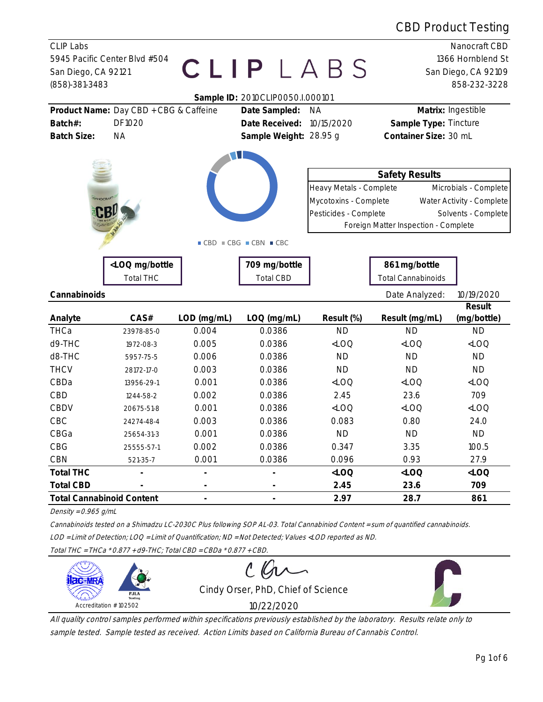# CBD Product Testing

| <b>CLIP Labs</b>                 |                                                                                                           |             |                                                                             |                                                                               |                                      | Nanocraft CBD             |
|----------------------------------|-----------------------------------------------------------------------------------------------------------|-------------|-----------------------------------------------------------------------------|-------------------------------------------------------------------------------|--------------------------------------|---------------------------|
|                                  | 5945 Pacific Center Blvd #504                                                                             |             |                                                                             |                                                                               |                                      | 1366 Hornblend St         |
| San Diego, CA 92121              |                                                                                                           |             | CLIPLABS                                                                    |                                                                               |                                      | San Diego, CA 92109       |
| (858)-381-3483                   |                                                                                                           |             |                                                                             |                                                                               |                                      | 858-232-3228              |
|                                  |                                                                                                           |             | Sample ID: 2010CLIP0050.I.000101                                            |                                                                               |                                      |                           |
|                                  | Product Name: Day CBD + CBG & Caffeine                                                                    |             | Date Sampled:                                                               | <b>NA</b>                                                                     |                                      | Matrix: Ingestible        |
| Batch#:                          | DF1020                                                                                                    |             | Date Received:                                                              | 10/15/2020                                                                    | Sample Type: Tincture                |                           |
| <b>Batch Size:</b>               | <b>NA</b>                                                                                                 |             | Sample Weight: 28.95 g                                                      |                                                                               | Container Size: 30 mL                |                           |
|                                  |                                                                                                           |             |                                                                             |                                                                               |                                      |                           |
|                                  |                                                                                                           |             |                                                                             |                                                                               | <b>Safety Results</b>                |                           |
|                                  |                                                                                                           |             |                                                                             | Heavy Metals - Complete                                                       |                                      | Microbials - Complete     |
| <b>INNOCRAFT</b>                 |                                                                                                           |             |                                                                             | Mycotoxins - Complete                                                         |                                      | Water Activity - Complete |
|                                  |                                                                                                           |             |                                                                             | Pesticides - Complete                                                         |                                      | Solvents - Complete       |
|                                  |                                                                                                           |             |                                                                             |                                                                               | Foreign Matter Inspection - Complete |                           |
|                                  |                                                                                                           |             | $\blacksquare$ CBD $\blacksquare$ CBG $\blacksquare$ CBN $\blacksquare$ CBC |                                                                               |                                      |                           |
|                                  | <loq bottle<="" mg="" td=""><td></td><td>709 mg/bottle</td><td></td><td>861 mg/bottle</td><td></td></loq> |             | 709 mg/bottle                                                               |                                                                               | 861 mg/bottle                        |                           |
|                                  | <b>Total THC</b>                                                                                          |             | <b>Total CBD</b>                                                            |                                                                               | <b>Total Cannabinoids</b>            |                           |
| Cannabinoids                     |                                                                                                           |             |                                                                             |                                                                               | Date Analyzed:                       | 10/19/2020                |
|                                  |                                                                                                           |             |                                                                             |                                                                               |                                      | Result                    |
| Analyte                          | CAS#                                                                                                      | LOD (mg/mL) | LOQ (mg/mL)                                                                 | Result (%)                                                                    | Result (mg/mL)                       | (mg/bottle)               |
| THCa                             | 23978-85-0                                                                                                | 0.004       | 0.0386                                                                      | <b>ND</b>                                                                     | <b>ND</b>                            | <b>ND</b>                 |
| d9-THC                           | 1972-08-3                                                                                                 | 0.005       | 0.0386                                                                      | <loq< td=""><td><math>&lt;</math>LOQ</td><td><math>&lt;</math>LOQ</td></loq<> | $<$ LOQ                              | $<$ LOQ                   |
| d8-THC                           | 5957-75-5                                                                                                 | 0.006       | 0.0386                                                                      | <b>ND</b>                                                                     | <b>ND</b>                            | <b>ND</b>                 |
| <b>THCV</b>                      | 28172-17-0                                                                                                | 0.003       | 0.0386                                                                      | <b>ND</b>                                                                     | <b>ND</b>                            | <b>ND</b>                 |
| CBDa                             | 13956-29-1                                                                                                | 0.001       | 0.0386                                                                      | $<$ LOQ                                                                       | $<$ LOQ                              | $<$ LOQ                   |
| CBD                              | 1244-58-2                                                                                                 | 0.002       | 0.0386                                                                      | 2.45                                                                          | 23.6                                 | 709                       |
| CBDV                             | 20675-51-8                                                                                                | 0.001       | 0.0386                                                                      | $<$ LOQ                                                                       | $<$ LOQ                              | $<$ LOQ                   |
| CBC                              | 24274-48-4                                                                                                | 0.003       | 0.0386                                                                      | 0.083                                                                         | 0.80                                 | 24.0                      |
| CBGa                             | 25654-31-3                                                                                                | 0.001       | 0.0386                                                                      | <b>ND</b>                                                                     | <b>ND</b>                            | <b>ND</b>                 |
| CBG                              | 25555-57-1                                                                                                | 0.002       | 0.0386                                                                      | 0.347                                                                         | 3.35                                 | 100.5                     |
| CBN                              | 521-35-7                                                                                                  | 0.001       | 0.0386                                                                      | 0.096                                                                         | 0.93                                 | 27.9                      |
| <b>Total THC</b>                 |                                                                                                           |             |                                                                             | $<$ LOQ                                                                       | $<$ LOQ                              | $<$ LOQ                   |
| <b>Total CBD</b>                 |                                                                                                           |             |                                                                             | 2.45                                                                          | 23.6                                 | 709                       |
| <b>Total Cannabinoid Content</b> |                                                                                                           |             | $\overline{\phantom{0}}$                                                    | 2.97                                                                          | 28.7                                 | 861                       |

Density = 0.965 g/mL

LOD = Limit of Detection; LOQ = Limit of Quantification; ND = Not Detected; Values <LOD reported as ND. Cannabinoids tested on a Shimadzu LC-2030C Plus following SOP AL-03. Total Cannabiniod Content = sum of quantified cannabinoids.

Total THC = THCa \* 0.877 + d9-THC; Total CBD = CBDa \* 0.877 + CBD.

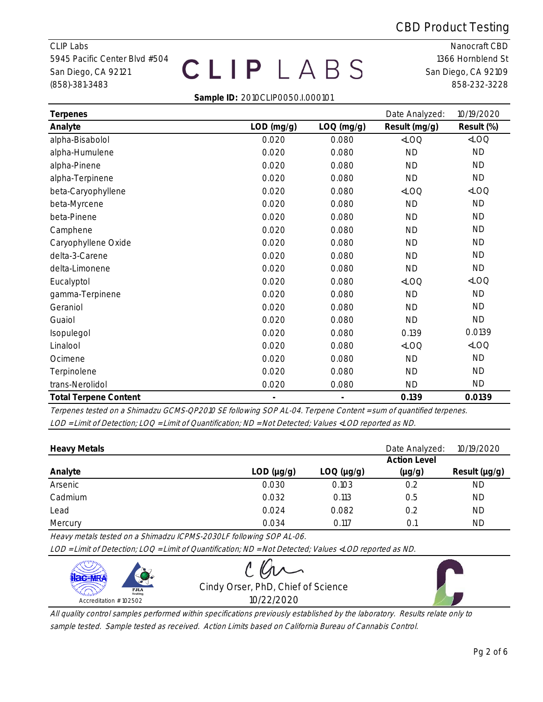**CLIP Labs** Nanocraft CBD (858)-381-3483 858-232-3228

5945 Pacific Center Blvd #504 1366 Hornblend St San Diego, CA 92121  $\Box$   $\Box$   $\Box$   $\Box$   $\Box$   $\Box$  San Diego, CA 92109

#### Sample ID: 2010CLIP0050.I.000101

| Terpenes                     |                          |                          | Date Analyzed: | 10/19/2020 |
|------------------------------|--------------------------|--------------------------|----------------|------------|
| Analyte                      | $LOD$ (mg/g)             | LOQ (mg/g)               | Result (mg/g)  | Result (%) |
| alpha-Bisabolol              | 0.020                    | 0.080                    | $<$ LOQ        | $<$ LOQ    |
| alpha-Humulene               | 0.020                    | 0.080                    | <b>ND</b>      | <b>ND</b>  |
| alpha-Pinene                 | 0.020                    | 0.080                    | <b>ND</b>      | <b>ND</b>  |
| alpha-Terpinene              | 0.020                    | 0.080                    | <b>ND</b>      | <b>ND</b>  |
| beta-Caryophyllene           | 0.020                    | 0.080                    | $<$ LOQ        | $<$ LOQ    |
| beta-Myrcene                 | 0.020                    | 0.080                    | <b>ND</b>      | <b>ND</b>  |
| beta-Pinene                  | 0.020                    | 0.080                    | <b>ND</b>      | <b>ND</b>  |
| Camphene                     | 0.020                    | 0.080                    | <b>ND</b>      | <b>ND</b>  |
| Caryophyllene Oxide          | 0.020                    | 0.080                    | <b>ND</b>      | <b>ND</b>  |
| delta-3-Carene               | 0.020                    | 0.080                    | <b>ND</b>      | <b>ND</b>  |
| delta-Limonene               | 0.020                    | 0.080                    | <b>ND</b>      | <b>ND</b>  |
| Eucalyptol                   | 0.020                    | 0.080                    | $<$ LOQ        | $<$ LOQ    |
| gamma-Terpinene              | 0.020                    | 0.080                    | <b>ND</b>      | <b>ND</b>  |
| Geraniol                     | 0.020                    | 0.080                    | <b>ND</b>      | <b>ND</b>  |
| Guaiol                       | 0.020                    | 0.080                    | <b>ND</b>      | <b>ND</b>  |
| Isopulegol                   | 0.020                    | 0.080                    | 0.139          | 0.0139     |
| Linalool                     | 0.020                    | 0.080                    | $<$ LOQ        | $<$ LOQ    |
| Ocimene                      | 0.020                    | 0.080                    | <b>ND</b>      | <b>ND</b>  |
| Terpinolene                  | 0.020                    | 0.080                    | <b>ND</b>      | <b>ND</b>  |
| trans-Nerolidol              | 0.020                    | 0.080                    | <b>ND</b>      | <b>ND</b>  |
| <b>Total Terpene Content</b> | $\overline{\phantom{a}}$ | $\overline{\phantom{a}}$ | 0.139          | 0.0139     |

Terpenes tested on a Shimadzu GCMS-QP2010 SE following SOP AL-04. Terpene Content = sum of quantified terpenes. LOD = Limit of Detection; LOQ = Limit of Quantification; ND = Not Detected; Values <LOD reported as ND.

| Heavy Metals |            |                    | Date Analyzed:      | 10/19/2020         |
|--------------|------------|--------------------|---------------------|--------------------|
|              |            |                    | <b>Action Level</b> |                    |
| Analyte      | LOD (µg/g) | $LOQ$ ( $\mu$ g/g) | (µg/g)              | Result $(\mu g/g)$ |
| Arsenic      | 0.030      | 0.103              | 0.2                 | ND                 |
| Cadmium      | 0.032      | 0.113              | 0.5                 | ΝD                 |
| Lead         | 0.024      | 0.082              | 0.2                 | <b>ND</b>          |
| Mercury      | 0.034      | 0.117              | O.1                 | ΝD                 |

Heavy metals tested on a Shimadzu ICPMS-2030LF following SOP AL-06.

LOD = Limit of Detection; LOQ = Limit of Quantification; ND = Not Detected; Values <LOD reported as ND.

| <b>PJLA</b><br><b>Testing</b> | Cindy Orser, PhD, Chief of Science |  |
|-------------------------------|------------------------------------|--|
| Accreditation #102502         | 10/22/2020                         |  |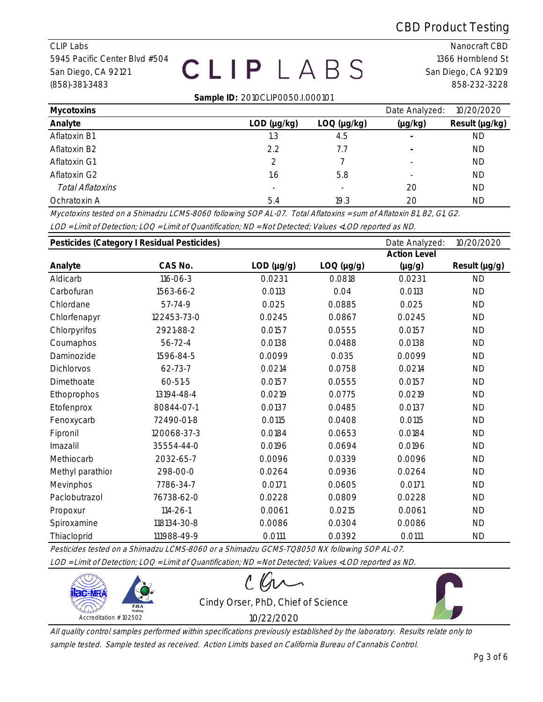## CBD Product Testing

#### 5945 Pacific Center Blvd #504 1366 Hornblend St San Diego, CA 92121  $\Box$   $\Box$   $\Box$   $\Box$   $\Box$   $\Box$  San Diego, CA 92109 (858)-381-3483 858-232-3228

**CLIP Labs** Nanocraft CBD

#### Sample ID: 2010CLIP0050.I.000101

| Mycotoxins       |                     |                     | Date Analyzed:           | 10/20/2020     |
|------------------|---------------------|---------------------|--------------------------|----------------|
| Analyte          | $LOD$ ( $\mu$ g/kg) | $LOQ$ ( $\mu$ g/kg) | (µg/kg)                  | Result (µg/kg) |
| Aflatoxin B1     | 1.3                 | 4.5                 |                          | ND             |
| Aflatoxin B2     | 2.2                 | 7.7                 | $\overline{\phantom{a}}$ | <b>ND</b>      |
| Aflatoxin G1     | 2                   |                     |                          | <b>ND</b>      |
| Aflatoxin G2     | 1.6                 | 5.8                 | $\overline{\phantom{a}}$ | <b>ND</b>      |
| Total Aflatoxins |                     |                     | 20                       | <b>ND</b>      |
| Ochratoxin A     | 5.4                 | 19.3                | 20                       | <b>ND</b>      |

Mycotoxins tested on a Shimadzu LCMS-8060 following SOP AL-07. Total Aflatoxins = sum of Aflatoxin B1, B2, G1, G2. LOD = Limit of Detection; LOQ = Limit of Quantification; ND = Not Detected; Values <LOD reported as ND.

|                   | Pesticides (Category I Residual Pesticides) |            |            | Date Analyzed:      | 10/20/2020    |
|-------------------|---------------------------------------------|------------|------------|---------------------|---------------|
|                   |                                             |            |            | <b>Action Level</b> |               |
| Analyte           | CAS No.                                     | LOD (µg/g) | LOQ (µg/g) | $(\mu g/g)$         | Result (µg/g) |
| Aldicarb          | $116 - 06 - 3$                              | 0.0231     | 0.0818     | 0.0231              | <b>ND</b>     |
| Carbofuran        | 1563-66-2                                   | 0.0113     | 0.04       | 0.0113              | <b>ND</b>     |
| Chlordane         | 57-74-9                                     | 0.025      | 0.0885     | 0.025               | <b>ND</b>     |
| Chlorfenapyr      | 122453-73-0                                 | 0.0245     | 0.0867     | 0.0245              | <b>ND</b>     |
| Chlorpyrifos      | 2921-88-2                                   | 0.0157     | 0.0555     | 0.0157              | <b>ND</b>     |
| Coumaphos         | 56-72-4                                     | 0.0138     | 0.0488     | 0.0138              | <b>ND</b>     |
| Daminozide        | 1596-84-5                                   | 0.0099     | 0.035      | 0.0099              | <b>ND</b>     |
| <b>Dichlorvos</b> | 62-73-7                                     | 0.0214     | 0.0758     | 0.0214              | <b>ND</b>     |
| Dimethoate        | 60-51-5                                     | 0.0157     | 0.0555     | 0.0157              | <b>ND</b>     |
| Ethoprophos       | 13194-48-4                                  | 0.0219     | 0.0775     | 0.0219              | <b>ND</b>     |
| Etofenprox        | 80844-07-1                                  | 0.0137     | 0.0485     | 0.0137              | <b>ND</b>     |
| Fenoxycarb        | 72490-01-8                                  | 0.0115     | 0.0408     | 0.0115              | <b>ND</b>     |
| Fipronil          | 120068-37-3                                 | 0.0184     | 0.0653     | 0.0184              | <b>ND</b>     |
| Imazalil          | 35554-44-0                                  | 0.0196     | 0.0694     | 0.0196              | <b>ND</b>     |
| Methiocarb        | 2032-65-7                                   | 0.0096     | 0.0339     | 0.0096              | <b>ND</b>     |
| Methyl parathior  | 298-00-0                                    | 0.0264     | 0.0936     | 0.0264              | <b>ND</b>     |
| Mevinphos         | 7786-34-7                                   | 0.0171     | 0.0605     | 0.0171              | <b>ND</b>     |
| Paclobutrazol     | 76738-62-0                                  | 0.0228     | 0.0809     | 0.0228              | <b>ND</b>     |
| Propoxur          | $114 - 26 - 1$                              | 0.0061     | 0.0215     | 0.0061              | <b>ND</b>     |
| Spiroxamine       | 118134-30-8                                 | 0.0086     | 0.0304     | 0.0086              | <b>ND</b>     |
| Thiacloprid       | 111988-49-9                                 | 0.0111     | 0.0392     | 0.0111              | <b>ND</b>     |

Pesticides tested on a Shimadzu LCMS-8060 or a Shimadzu GCMS-TQ8050 NX following SOP AL-07. LOD = Limit of Detection; LOQ = Limit of Quantification; ND = Not Detected; Values <LOD reported as ND.

| <b>PJLA</b><br><b>Testing</b> | Cindy Orser, PhD, Chief of Science |  |
|-------------------------------|------------------------------------|--|
| Accreditation #102502         | 10/22/2020                         |  |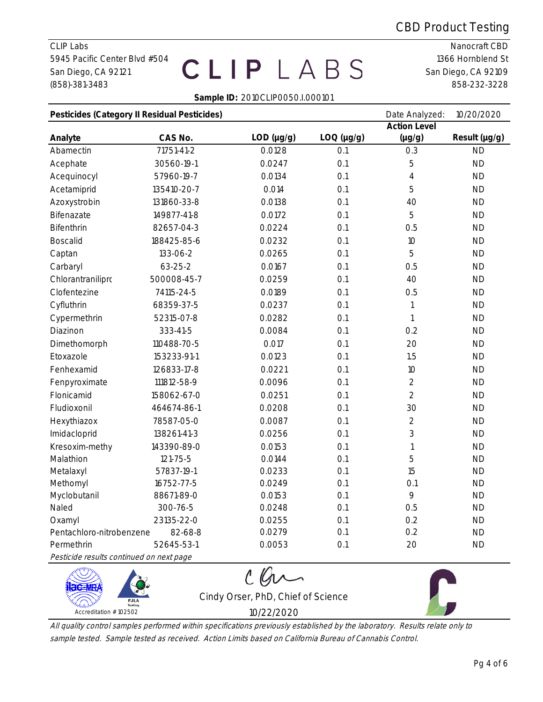Accreditation # 102502

**PJLA** 

#### 5945 Pacific Center Blvd #504 1366 Hornblend St San Diego, CA 92121  $\Box$   $\Box$   $\Box$   $\Box$   $\Box$   $\Box$  San Diego, CA 92109 (858)-381-3483 858-232-3228

**CLIP Labs** Nanocraft CBD

#### Sample ID: 2010CLIP0050.I.000101

| Pesticides (Category II Residual Pesticides) |             |            |            | Date Analyzed:      | 10/20/2020    |
|----------------------------------------------|-------------|------------|------------|---------------------|---------------|
|                                              |             |            |            | <b>Action Level</b> |               |
| Analyte                                      | CAS No.     | LOD (µg/g) | LOQ (µg/g) | $(\mu g/g)$         | Result (µg/g) |
| Abamectin                                    | 71751-41-2  | 0.0128     | O.1        | 0.3                 | <b>ND</b>     |
| Acephate                                     | 30560-19-1  | 0.0247     | 0.1        | 5                   | <b>ND</b>     |
| Acequinocyl                                  | 57960-19-7  | 0.0134     | 0.1        | 4                   | <b>ND</b>     |
| Acetamiprid                                  | 135410-20-7 | 0.014      | O.1        | 5                   | <b>ND</b>     |
| Azoxystrobin                                 | 131860-33-8 | 0.0138     | 0.1        | 40                  | <b>ND</b>     |
| Bifenazate                                   | 149877-41-8 | 0.0172     | 0.1        | 5                   | <b>ND</b>     |
| <b>Bifenthrin</b>                            | 82657-04-3  | 0.0224     | O.1        | 0.5                 | <b>ND</b>     |
| <b>Boscalid</b>                              | 188425-85-6 | 0.0232     | O.1        | 10                  | <b>ND</b>     |
| Captan                                       | 133-06-2    | 0.0265     | O.1        | 5                   | <b>ND</b>     |
| Carbaryl                                     | 63-25-2     | 0.0167     | 0.1        | 0.5                 | <b>ND</b>     |
| Chlorantranilipro                            | 500008-45-7 | 0.0259     | 0.1        | 40                  | <b>ND</b>     |
| Clofentezine                                 | 74115-24-5  | 0.0189     | O.1        | 0.5                 | <b>ND</b>     |
| Cyfluthrin                                   | 68359-37-5  | 0.0237     | O.1        |                     | <b>ND</b>     |
| Cypermethrin                                 | 52315-07-8  | 0.0282     | O.1        |                     | <b>ND</b>     |
| Diazinon                                     | 333-41-5    | 0.0084     | 0.1        | 0.2                 | <b>ND</b>     |
| Dimethomorph                                 | 110488-70-5 | 0.017      | 0.1        | 20                  | <b>ND</b>     |
| Etoxazole                                    | 153233-91-1 | 0.0123     | 0.1        | 1.5                 | <b>ND</b>     |
| Fenhexamid                                   | 126833-17-8 | 0.0221     | 0.1        | 10                  | <b>ND</b>     |
| Fenpyroximate                                | 111812-58-9 | 0.0096     | O.1        | $\overline{2}$      | <b>ND</b>     |
| Flonicamid                                   | 158062-67-0 | 0.0251     | 0.1        | $\overline{2}$      | <b>ND</b>     |
| Fludioxonil                                  | 464674-86-1 | 0.0208     | 0.1        | 30                  | <b>ND</b>     |
| Hexythiazox                                  | 78587-05-0  | 0.0087     | 0.1        | $\overline{2}$      | <b>ND</b>     |
| Imidacloprid                                 | 138261-41-3 | 0.0256     | 0.1        | 3                   | <b>ND</b>     |
| Kresoxim-methy                               | 143390-89-0 | 0.0153     | O.1        |                     | <b>ND</b>     |
| Malathion                                    | 121-75-5    | 0.0144     | O.1        | 5                   | <b>ND</b>     |
| Metalaxyl                                    | 57837-19-1  | 0.0233     | 0.1        | 15                  | <b>ND</b>     |
| Methomyl                                     | 16752-77-5  | 0.0249     | O.1        | 0.1                 | <b>ND</b>     |
| Myclobutanil                                 | 88671-89-0  | 0.0153     | 0.1        | 9                   | <b>ND</b>     |
| Naled                                        | 300-76-5    | 0.0248     | 0.1        | 0.5                 | ND            |
| Oxamyl                                       | 23135-22-0  | 0.0255     | O.1        | 0.2                 | <b>ND</b>     |
| Pentachloro-nitrobenzene                     | 82-68-8     | 0.0279     | O.1        | 0.2                 | <b>ND</b>     |
| Permethrin                                   | 52645-53-1  | 0.0053     | O.1        | 20                  | <b>ND</b>     |
| Pesticide results continued on next page     |             |            |            |                     |               |
|                                              |             |            |            |                     |               |
| <b>IRC-MRA</b>                               |             |            |            |                     |               |

Cindy Orser, PhD, Chief of Science

10/22/2020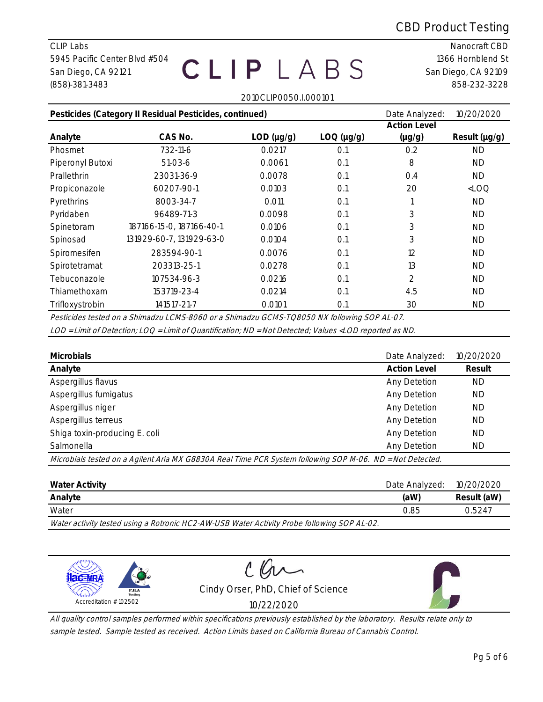#### 5945 Pacific Center Blvd #504 1366 Hornblend St San Diego, CA 92121  $\Box$   $\Box$   $\Box$   $\Box$   $\Box$   $\Box$  San Diego, CA 92109 (858)-381-3483 858-232-3228

**CLIP Labs** Nanocraft CBD

|                  |                                                         | 2010CLIP0050.I.000101 |            |                     |               |
|------------------|---------------------------------------------------------|-----------------------|------------|---------------------|---------------|
|                  | Pesticides (Category II Residual Pesticides, continued) |                       |            | Date Analyzed:      | 10/20/2020    |
|                  |                                                         |                       |            | <b>Action Level</b> |               |
| Analyte          | CAS No.                                                 | LOD (µg/g)            | LOQ (µg/g) | $(\mu g/g)$         | Result (µg/g) |
| Phosmet          | 732-11-6                                                | 0.0217                | O.1        | 0.2                 | <b>ND</b>     |
| Piperonyl Butoxi | $51-03-6$                                               | 0.0061                | 0.1        | 8                   | <b>ND</b>     |
| Prallethrin      | 23031-36-9                                              | 0.0078                | 0.1        | 0.4                 | <b>ND</b>     |
| Propiconazole    | 60207-90-1                                              | 0.0103                | 0.1        | 20                  | $<$ LOQ       |
| Pyrethrins       | 8003-34-7                                               | 0.011                 | 0.1        |                     | <b>ND</b>     |
| Pyridaben        | 96489-71-3                                              | 0.0098                | 0.1        | 3                   | <b>ND</b>     |
| Spinetoram       | 187166-15-0, 187166-40-1                                | 0.0106                | 0.1        | 3                   | <b>ND</b>     |
| Spinosad         | 131929-60-7, 131929-63-0                                | 0.0104                | 0.1        | 3                   | <b>ND</b>     |
| Spiromesifen     | 283594-90-1                                             | 0.0076                | 0.1        | 12                  | <b>ND</b>     |
| Spirotetramat    | 203313-25-1                                             | 0.0278                | 0.1        | 13                  | <b>ND</b>     |
| Tebuconazole     | 107534-96-3                                             | 0.0216                | 0.1        | $\overline{2}$      | <b>ND</b>     |
| Thiamethoxam     | 153719-23-4                                             | 0.0214                | O.1        | 4.5                 | <b>ND</b>     |
| Trifloxystrobin  | 141517-21-7                                             | 0.0101                | O.1        | 30                  | <b>ND</b>     |

Pesticides tested on a Shimadzu LCMS-8060 or a Shimadzu GCMS-TQ8050 NX following SOP AL-07. LOD = Limit of Detection; LOQ = Limit of Quantification; ND = Not Detected; Values <LOD reported as ND.

| <b>Microbials</b>                                                                                         | Date Analyzed:      | 10/20/2020 |
|-----------------------------------------------------------------------------------------------------------|---------------------|------------|
| Analyte                                                                                                   | <b>Action Level</b> | Result     |
| Aspergillus flavus                                                                                        | Any Detetion        | <b>ND</b>  |
| Aspergillus fumigatus                                                                                     | Any Detetion        | <b>ND</b>  |
| Aspergillus niger                                                                                         | Any Detetion        | <b>ND</b>  |
| Aspergillus terreus                                                                                       | Any Detetion        | <b>ND</b>  |
| Shiga toxin-producing E. coli                                                                             | Any Detetion        | ND.        |
| Salmonella                                                                                                | Any Detetion        | ND.        |
| Microbials tested on a Agilent Aria MX G8830A Real Time PCR System following SOP M-06. ND = Not Detected. |                     |            |

| Water Activity                                                                              | Date Analyzed: | 10/20/2020  |
|---------------------------------------------------------------------------------------------|----------------|-------------|
| Analyte                                                                                     | (aW)           | Result (aW) |
| Water                                                                                       | 0.85           | 0.5247      |
| Water activity tested using a Rotronic HC2-AW-USB Water Activity Probe following SOP AL-02. |                |             |

| <b>PJLA</b><br><b>Testing</b> | Cindy Orser, PhD, Chief of Science |  |
|-------------------------------|------------------------------------|--|
| Accreditation #102502         | 1/22/2020                          |  |